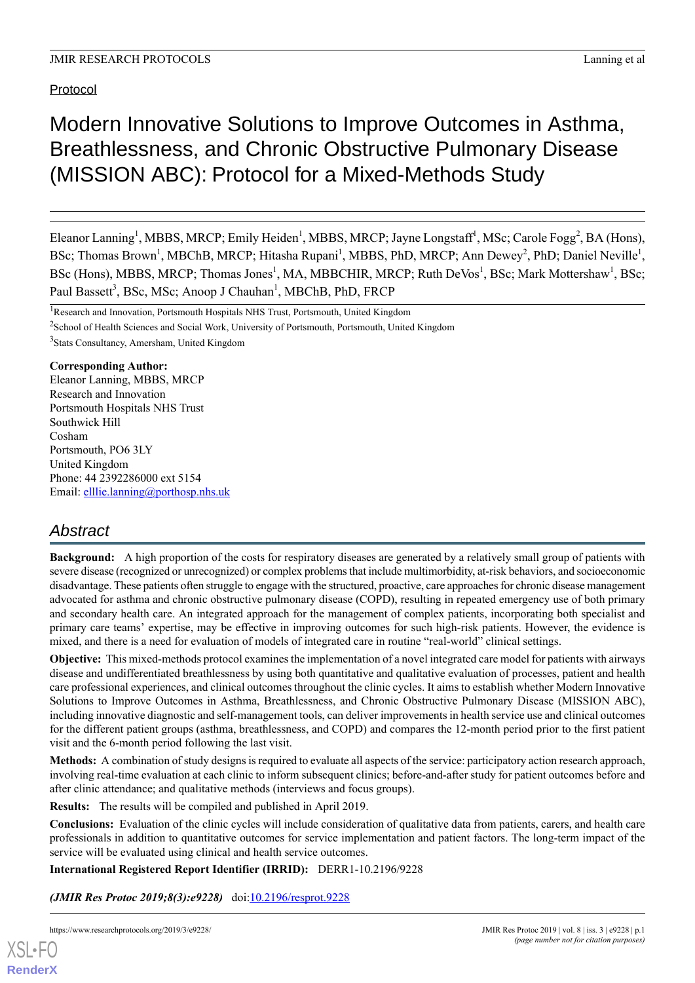Protocol

# Modern Innovative Solutions to Improve Outcomes in Asthma, Breathlessness, and Chronic Obstructive Pulmonary Disease (MISSION ABC): Protocol for a Mixed-Methods Study

Eleanor Lanning<sup>1</sup>, MBBS, MRCP; Emily Heiden<sup>1</sup>, MBBS, MRCP; Jayne Longstaff<sup>1</sup>, MSc; Carole Fogg<sup>2</sup>, BA (Hons), BSc; Thomas Brown<sup>1</sup>, MBChB, MRCP; Hitasha Rupani<sup>1</sup>, MBBS, PhD, MRCP; Ann Dewey<sup>2</sup>, PhD; Daniel Neville<sup>1</sup>, BSc (Hons), MBBS, MRCP; Thomas Jones<sup>1</sup>, MA, MBBCHIR, MRCP; Ruth DeVos<sup>1</sup>, BSc; Mark Mottershaw<sup>1</sup>, BSc; Paul Bassett<sup>3</sup>, BSc, MSc; Anoop J Chauhan<sup>1</sup>, MBChB, PhD, FRCP

<sup>3</sup>Stats Consultancy, Amersham, United Kingdom

## **Corresponding Author:**

Eleanor Lanning, MBBS, MRCP Research and Innovation Portsmouth Hospitals NHS Trust Southwick Hill Cosham Portsmouth, PO6 3LY United Kingdom Phone: 44 2392286000 ext 5154 Email: [elllie.lanning@porthosp.nhs.uk](mailto:elllie.lanning@porthosp.nhs.uk)

## *Abstract*

**Background:** A high proportion of the costs for respiratory diseases are generated by a relatively small group of patients with severe disease (recognized or unrecognized) or complex problems that include multimorbidity, at-risk behaviors, and socioeconomic disadvantage. These patients often struggle to engage with the structured, proactive, care approaches for chronic disease management advocated for asthma and chronic obstructive pulmonary disease (COPD), resulting in repeated emergency use of both primary and secondary health care. An integrated approach for the management of complex patients, incorporating both specialist and primary care teams' expertise, may be effective in improving outcomes for such high-risk patients. However, the evidence is mixed, and there is a need for evaluation of models of integrated care in routine "real-world" clinical settings.

**Objective:** This mixed-methods protocol examines the implementation of a novel integrated care model for patients with airways disease and undifferentiated breathlessness by using both quantitative and qualitative evaluation of processes, patient and health care professional experiences, and clinical outcomes throughout the clinic cycles. It aims to establish whether Modern Innovative Solutions to Improve Outcomes in Asthma, Breathlessness, and Chronic Obstructive Pulmonary Disease (MISSION ABC), including innovative diagnostic and self-management tools, can deliver improvements in health service use and clinical outcomes for the different patient groups (asthma, breathlessness, and COPD) and compares the 12-month period prior to the first patient visit and the 6-month period following the last visit.

**Methods:** A combination of study designs is required to evaluate all aspects of the service: participatory action research approach, involving real-time evaluation at each clinic to inform subsequent clinics; before-and-after study for patient outcomes before and after clinic attendance; and qualitative methods (interviews and focus groups).

**Results:** The results will be compiled and published in April 2019.

**Conclusions:** Evaluation of the clinic cycles will include consideration of qualitative data from patients, carers, and health care professionals in addition to quantitative outcomes for service implementation and patient factors. The long-term impact of the service will be evaluated using clinical and health service outcomes.

**International Registered Report Identifier (IRRID):** DERR1-10.2196/9228

*(JMIR Res Protoc 2019;8(3):e9228)* doi[:10.2196/resprot.9228](http://dx.doi.org/10.2196/resprot.9228)

<sup>&</sup>lt;sup>1</sup>Research and Innovation, Portsmouth Hospitals NHS Trust, Portsmouth, United Kingdom <sup>2</sup>School of Health Sciences and Social Work, University of Portsmouth, Portsmouth, United Kingdom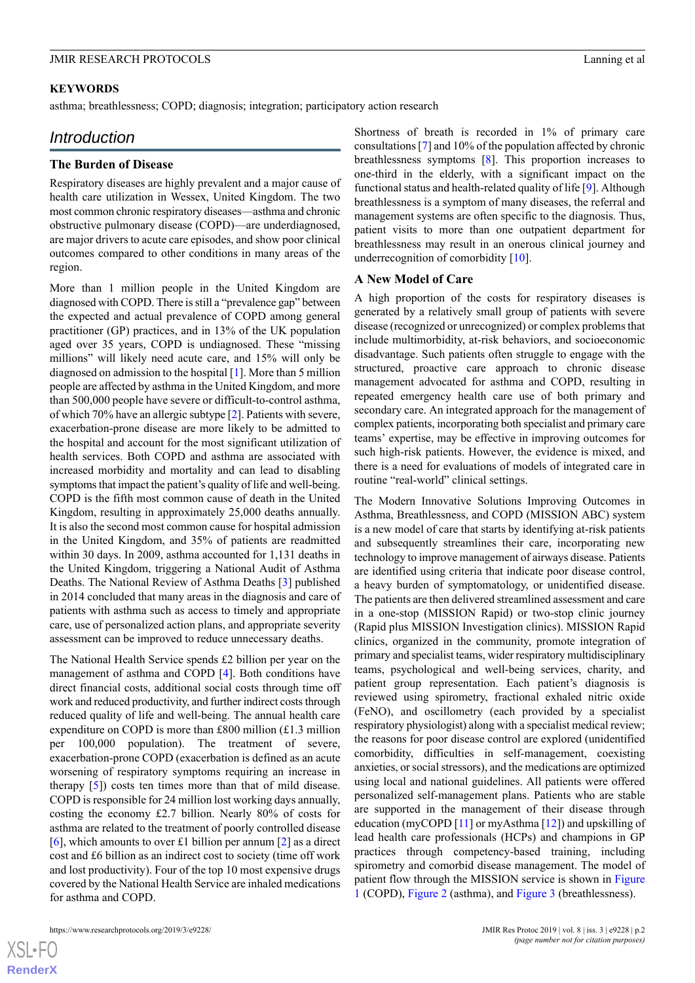## **KEYWORDS**

asthma; breathlessness; COPD; diagnosis; integration; participatory action research

## *Introduction*

#### **The Burden of Disease**

Respiratory diseases are highly prevalent and a major cause of health care utilization in Wessex, United Kingdom. The two most common chronic respiratory diseases—asthma and chronic obstructive pulmonary disease (COPD)—are underdiagnosed, are major drivers to acute care episodes, and show poor clinical outcomes compared to other conditions in many areas of the region.

More than 1 million people in the United Kingdom are diagnosed with COPD. There is still a "prevalence gap" between the expected and actual prevalence of COPD among general practitioner (GP) practices, and in 13% of the UK population aged over 35 years, COPD is undiagnosed. These "missing millions" will likely need acute care, and 15% will only be diagnosed on admission to the hospital [\[1](#page-10-0)]. More than 5 million people are affected by asthma in the United Kingdom, and more than 500,000 people have severe or difficult-to-control asthma, of which 70% have an allergic subtype [\[2](#page-10-1)]. Patients with severe, exacerbation-prone disease are more likely to be admitted to the hospital and account for the most significant utilization of health services. Both COPD and asthma are associated with increased morbidity and mortality and can lead to disabling symptoms that impact the patient's quality of life and well-being. COPD is the fifth most common cause of death in the United Kingdom, resulting in approximately 25,000 deaths annually. It is also the second most common cause for hospital admission in the United Kingdom, and 35% of patients are readmitted within 30 days. In 2009, asthma accounted for 1,131 deaths in the United Kingdom, triggering a National Audit of Asthma Deaths. The National Review of Asthma Deaths [[3\]](#page-10-2) published in 2014 concluded that many areas in the diagnosis and care of patients with asthma such as access to timely and appropriate care, use of personalized action plans, and appropriate severity assessment can be improved to reduce unnecessary deaths.

The National Health Service spends £2 billion per year on the management of asthma and COPD [\[4](#page-10-3)]. Both conditions have direct financial costs, additional social costs through time off work and reduced productivity, and further indirect costs through reduced quality of life and well-being. The annual health care expenditure on COPD is more than £800 million (£1.3 million per 100,000 population). The treatment of severe, exacerbation-prone COPD (exacerbation is defined as an acute worsening of respiratory symptoms requiring an increase in therapy [[5\]](#page-11-0)) costs ten times more than that of mild disease. COPD is responsible for 24 million lost working days annually, costing the economy £2.7 billion. Nearly 80% of costs for asthma are related to the treatment of poorly controlled disease [[6\]](#page-11-1), which amounts to over £1 billion per annum [[2\]](#page-10-1) as a direct cost and £6 billion as an indirect cost to society (time off work and lost productivity). Four of the top 10 most expensive drugs covered by the National Health Service are inhaled medications for asthma and COPD.

Shortness of breath is recorded in 1% of primary care consultations [[7\]](#page-11-2) and 10% of the population affected by chronic breathlessness symptoms [\[8](#page-11-3)]. This proportion increases to one-third in the elderly, with a significant impact on the functional status and health-related quality of life [\[9](#page-11-4)]. Although breathlessness is a symptom of many diseases, the referral and management systems are often specific to the diagnosis. Thus, patient visits to more than one outpatient department for breathlessness may result in an onerous clinical journey and underrecognition of comorbidity [[10\]](#page-11-5).

#### **A New Model of Care**

A high proportion of the costs for respiratory diseases is generated by a relatively small group of patients with severe disease (recognized or unrecognized) or complex problems that include multimorbidity, at-risk behaviors, and socioeconomic disadvantage. Such patients often struggle to engage with the structured, proactive care approach to chronic disease management advocated for asthma and COPD, resulting in repeated emergency health care use of both primary and secondary care. An integrated approach for the management of complex patients, incorporating both specialist and primary care teams' expertise, may be effective in improving outcomes for such high-risk patients. However, the evidence is mixed, and there is a need for evaluations of models of integrated care in routine "real-world" clinical settings.

The Modern Innovative Solutions Improving Outcomes in Asthma, Breathlessness, and COPD (MISSION ABC) system is a new model of care that starts by identifying at-risk patients and subsequently streamlines their care, incorporating new technology to improve management of airways disease. Patients are identified using criteria that indicate poor disease control, a heavy burden of symptomatology, or unidentified disease. The patients are then delivered streamlined assessment and care in a one-stop (MISSION Rapid) or two-stop clinic journey (Rapid plus MISSION Investigation clinics). MISSION Rapid clinics, organized in the community, promote integration of primary and specialist teams, wider respiratory multidisciplinary teams, psychological and well-being services, charity, and patient group representation. Each patient's diagnosis is reviewed using spirometry, fractional exhaled nitric oxide (FeNO), and oscillometry (each provided by a specialist respiratory physiologist) along with a specialist medical review; the reasons for poor disease control are explored (unidentified comorbidity, difficulties in self-management, coexisting anxieties, or social stressors), and the medications are optimized using local and national guidelines. All patients were offered personalized self-management plans. Patients who are stable are supported in the management of their disease through education (myCOPD [[11](#page-11-6)] or myAsthma [\[12](#page-11-7)]) and upskilling of lead health care professionals (HCPs) and champions in GP practices through competency-based training, including spirometry and comorbid disease management. The model of patient flow through the MISSION service is shown in [Figure](#page-2-0) [1](#page-2-0) (COPD), [Figure 2](#page-3-0) (asthma), and [Figure 3](#page-4-0) (breathlessness).

 $XS$ -FO **[RenderX](http://www.renderx.com/)**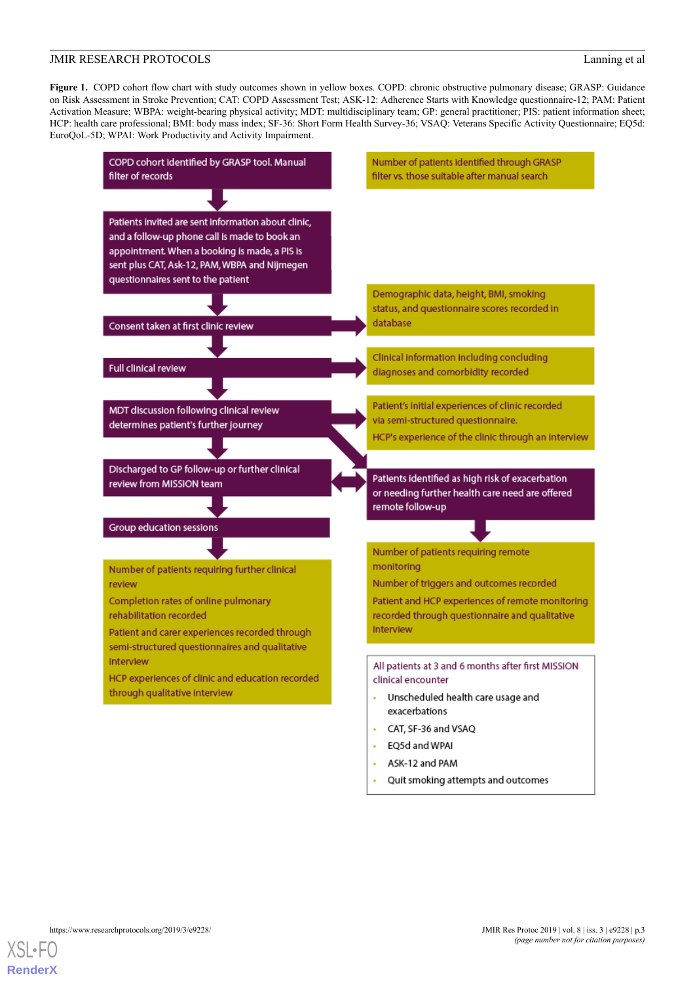<span id="page-2-0"></span>**Figure 1.** COPD cohort flow chart with study outcomes shown in yellow boxes. COPD: chronic obstructive pulmonary disease; GRASP: Guidance on Risk Assessment in Stroke Prevention; CAT: COPD Assessment Test; ASK-12: Adherence Starts with Knowledge questionnaire-12; PAM: Patient Activation Measure; WBPA: weight-bearing physical activity; MDT: multidisciplinary team; GP: general practitioner; PIS: patient information sheet; HCP: health care professional; BMI: body mass index; SF-36: Short Form Health Survey-36; VSAQ: Veterans Specific Activity Questionnaire; EQ5d: EuroQoL-5D; WPAI: Work Productivity and Activity Impairment.



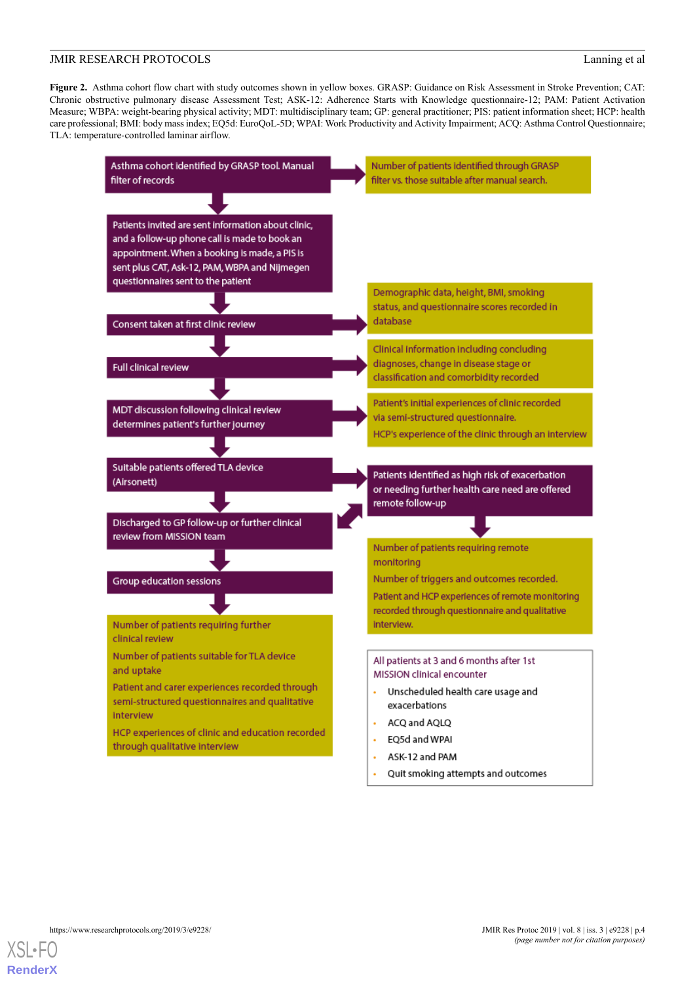<span id="page-3-0"></span>**Figure 2.** Asthma cohort flow chart with study outcomes shown in yellow boxes. GRASP: Guidance on Risk Assessment in Stroke Prevention; CAT: Chronic obstructive pulmonary disease Assessment Test; ASK-12: Adherence Starts with Knowledge questionnaire-12; PAM: Patient Activation Measure; WBPA: weight-bearing physical activity; MDT: multidisciplinary team; GP: general practitioner; PIS: patient information sheet; HCP: health care professional; BMI: body mass index; EQ5d: EuroQoL-5D; WPAI: Work Productivity and Activity Impairment; ACQ: Asthma Control Questionnaire; TLA: temperature-controlled laminar airflow.



Quit smoking attempts and outcomes

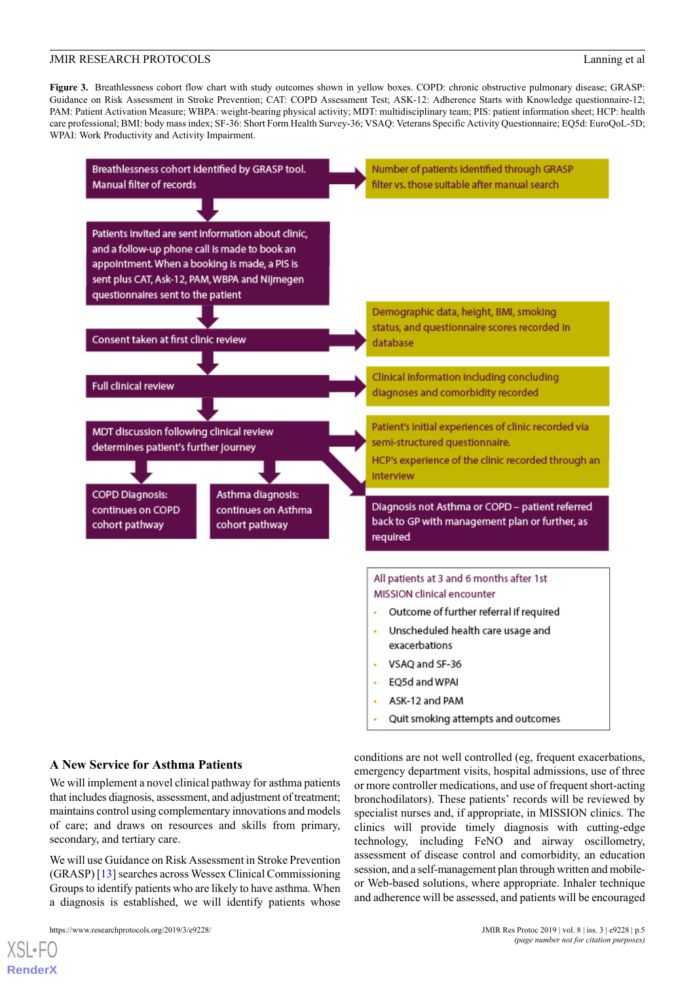<span id="page-4-0"></span>**Figure 3.** Breathlessness cohort flow chart with study outcomes shown in yellow boxes. COPD: chronic obstructive pulmonary disease; GRASP: Guidance on Risk Assessment in Stroke Prevention; CAT: COPD Assessment Test; ASK-12: Adherence Starts with Knowledge questionnaire-12; PAM: Patient Activation Measure; WBPA: weight-bearing physical activity; MDT: multidisciplinary team; PIS: patient information sheet; HCP: health care professional; BMI: body mass index; SF-36: Short Form Health Survey-36; VSAQ: Veterans Specific Activity Questionnaire; EQ5d: EuroQoL-5D; WPAI: Work Productivity and Activity Impairment.



## **A New Service for Asthma Patients**

We will implement a novel clinical pathway for asthma patients that includes diagnosis, assessment, and adjustment of treatment; maintains control using complementary innovations and models of care; and draws on resources and skills from primary, secondary, and tertiary care.

We will use Guidance on Risk Assessment in Stroke Prevention (GRASP) [\[13](#page-11-8)] searches across Wessex Clinical Commissioning Groups to identify patients who are likely to have asthma. When a diagnosis is established, we will identify patients whose

https://www.researchprotocols.org/2019/3/e9228/ JMIR Res Protoc 2019 | vol. 8 | iss. 3 | e9228 | p.5

[XSL](http://www.w3.org/Style/XSL)•FO **[RenderX](http://www.renderx.com/)**

conditions are not well controlled (eg, frequent exacerbations, emergency department visits, hospital admissions, use of three or more controller medications, and use of frequent short-acting bronchodilators). These patients' records will be reviewed by specialist nurses and, if appropriate, in MISSION clinics. The clinics will provide timely diagnosis with cutting-edge technology, including FeNO and airway oscillometry, assessment of disease control and comorbidity, an education session, and a self-management plan through written and mobileor Web-based solutions, where appropriate. Inhaler technique and adherence will be assessed, and patients will be encouraged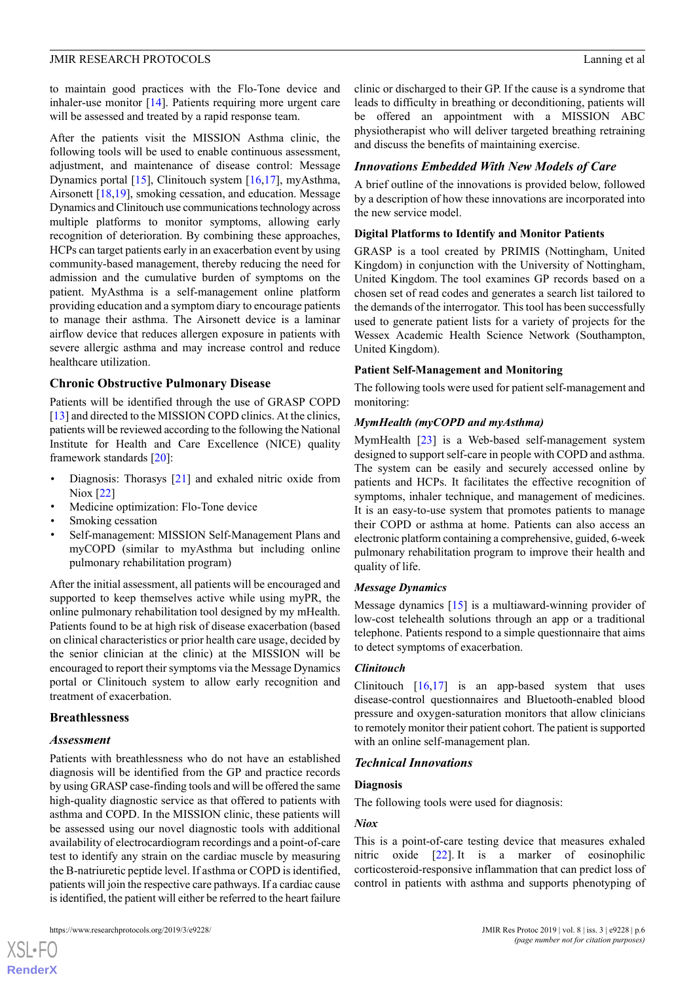to maintain good practices with the Flo-Tone device and inhaler-use monitor [\[14](#page-11-9)]. Patients requiring more urgent care will be assessed and treated by a rapid response team.

After the patients visit the MISSION Asthma clinic, the following tools will be used to enable continuous assessment, adjustment, and maintenance of disease control: Message Dynamics portal [[15\]](#page-11-10), Clinitouch system [[16](#page-11-11)[,17](#page-11-12)], myAsthma, Airsonett [[18,](#page-11-13)[19](#page-11-14)], smoking cessation, and education. Message Dynamics and Clinitouch use communications technology across multiple platforms to monitor symptoms, allowing early recognition of deterioration. By combining these approaches, HCPs can target patients early in an exacerbation event by using community-based management, thereby reducing the need for admission and the cumulative burden of symptoms on the patient. MyAsthma is a self-management online platform providing education and a symptom diary to encourage patients to manage their asthma. The Airsonett device is a laminar airflow device that reduces allergen exposure in patients with severe allergic asthma and may increase control and reduce healthcare utilization.

#### **Chronic Obstructive Pulmonary Disease**

Patients will be identified through the use of GRASP COPD [[13\]](#page-11-8) and directed to the MISSION COPD clinics. At the clinics, patients will be reviewed according to the following the National Institute for Health and Care Excellence (NICE) quality framework standards [\[20](#page-11-15)]:

- Diagnosis: Thorasys [\[21](#page-11-16)] and exhaled nitric oxide from Niox [\[22](#page-11-17)]
- Medicine optimization: Flo-Tone device
- Smoking cessation
- Self-management: MISSION Self-Management Plans and myCOPD (similar to myAsthma but including online pulmonary rehabilitation program)

After the initial assessment, all patients will be encouraged and supported to keep themselves active while using myPR, the online pulmonary rehabilitation tool designed by my mHealth. Patients found to be at high risk of disease exacerbation (based on clinical characteristics or prior health care usage, decided by the senior clinician at the clinic) at the MISSION will be encouraged to report their symptoms via the Message Dynamics portal or Clinitouch system to allow early recognition and treatment of exacerbation.

#### **Breathlessness**

#### *Assessment*

[XSL](http://www.w3.org/Style/XSL)•FO **[RenderX](http://www.renderx.com/)**

Patients with breathlessness who do not have an established diagnosis will be identified from the GP and practice records by using GRASP case-finding tools and will be offered the same high-quality diagnostic service as that offered to patients with asthma and COPD. In the MISSION clinic, these patients will be assessed using our novel diagnostic tools with additional availability of electrocardiogram recordings and a point-of-care test to identify any strain on the cardiac muscle by measuring the B-natriuretic peptide level. If asthma or COPD is identified, patients will join the respective care pathways. If a cardiac cause is identified, the patient will either be referred to the heart failure

clinic or discharged to their GP. If the cause is a syndrome that leads to difficulty in breathing or deconditioning, patients will be offered an appointment with a MISSION ABC physiotherapist who will deliver targeted breathing retraining and discuss the benefits of maintaining exercise.

#### *Innovations Embedded With New Models of Care*

A brief outline of the innovations is provided below, followed by a description of how these innovations are incorporated into the new service model.

#### **Digital Platforms to Identify and Monitor Patients**

GRASP is a tool created by PRIMIS (Nottingham, United Kingdom) in conjunction with the University of Nottingham, United Kingdom. The tool examines GP records based on a chosen set of read codes and generates a search list tailored to the demands of the interrogator. This tool has been successfully used to generate patient lists for a variety of projects for the Wessex Academic Health Science Network (Southampton, United Kingdom).

#### **Patient Self-Management and Monitoring**

The following tools were used for patient self-management and monitoring:

#### *MymHealth (myCOPD and myAsthma)*

MymHealth [[23\]](#page-11-18) is a Web-based self-management system designed to support self-care in people with COPD and asthma. The system can be easily and securely accessed online by patients and HCPs. It facilitates the effective recognition of symptoms, inhaler technique, and management of medicines. It is an easy-to-use system that promotes patients to manage their COPD or asthma at home. Patients can also access an electronic platform containing a comprehensive, guided, 6-week pulmonary rehabilitation program to improve their health and quality of life.

#### *Message Dynamics*

Message dynamics [\[15](#page-11-10)] is a multiaward-winning provider of low-cost telehealth solutions through an app or a traditional telephone. Patients respond to a simple questionnaire that aims to detect symptoms of exacerbation.

#### *Clinitouch*

Clinitouch  $[16,17]$  $[16,17]$  $[16,17]$  $[16,17]$  is an app-based system that uses disease-control questionnaires and Bluetooth-enabled blood pressure and oxygen-saturation monitors that allow clinicians to remotely monitor their patient cohort. The patient is supported with an online self-management plan.

#### *Technical Innovations*

#### **Diagnosis**

The following tools were used for diagnosis:

#### *Niox*

This is a point-of-care testing device that measures exhaled nitric oxide [[22\]](#page-11-17). It is a marker of eosinophilic corticosteroid-responsive inflammation that can predict loss of control in patients with asthma and supports phenotyping of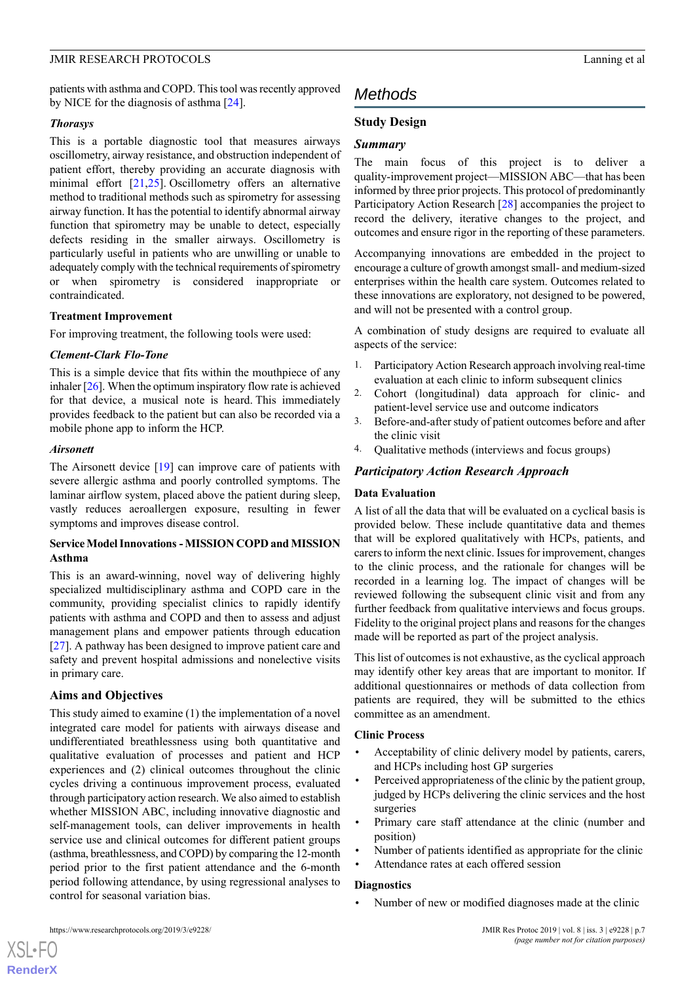patients with asthma and COPD. This tool was recently approved by NICE for the diagnosis of asthma [[24\]](#page-11-19).

#### *Thorasys*

This is a portable diagnostic tool that measures airways oscillometry, airway resistance, and obstruction independent of patient effort, thereby providing an accurate diagnosis with minimal effort [\[21](#page-11-16),[25\]](#page-11-20). Oscillometry offers an alternative method to traditional methods such as spirometry for assessing airway function. It has the potential to identify abnormal airway function that spirometry may be unable to detect, especially defects residing in the smaller airways. Oscillometry is particularly useful in patients who are unwilling or unable to adequately comply with the technical requirements of spirometry or when spirometry is considered inappropriate or contraindicated.

#### **Treatment Improvement**

For improving treatment, the following tools were used:

#### *Clement-Clark Flo-Tone*

This is a simple device that fits within the mouthpiece of any inhaler  $[26]$  $[26]$  $[26]$ . When the optimum inspiratory flow rate is achieved for that device, a musical note is heard. This immediately provides feedback to the patient but can also be recorded via a mobile phone app to inform the HCP.

#### *Airsonett*

The Airsonett device [[19\]](#page-11-14) can improve care of patients with severe allergic asthma and poorly controlled symptoms. The laminar airflow system, placed above the patient during sleep, vastly reduces aeroallergen exposure, resulting in fewer symptoms and improves disease control.

#### **Service Model Innovations - MISSION COPD and MISSION Asthma**

This is an award-winning, novel way of delivering highly specialized multidisciplinary asthma and COPD care in the community, providing specialist clinics to rapidly identify patients with asthma and COPD and then to assess and adjust management plans and empower patients through education [[27\]](#page-11-22). A pathway has been designed to improve patient care and safety and prevent hospital admissions and nonelective visits in primary care.

#### **Aims and Objectives**

This study aimed to examine (1) the implementation of a novel integrated care model for patients with airways disease and undifferentiated breathlessness using both quantitative and qualitative evaluation of processes and patient and HCP experiences and (2) clinical outcomes throughout the clinic cycles driving a continuous improvement process, evaluated through participatory action research. We also aimed to establish whether MISSION ABC, including innovative diagnostic and self-management tools, can deliver improvements in health service use and clinical outcomes for different patient groups (asthma, breathlessness, and COPD) by comparing the 12-month period prior to the first patient attendance and the 6-month period following attendance, by using regressional analyses to control for seasonal variation bias.

## *Methods*

## **Study Design**

#### *Summary*

The main focus of this project is to deliver a quality-improvement project—MISSION ABC—that has been informed by three prior projects. This protocol of predominantly Participatory Action Research [[28\]](#page-11-23) accompanies the project to record the delivery, iterative changes to the project, and outcomes and ensure rigor in the reporting of these parameters.

Accompanying innovations are embedded in the project to encourage a culture of growth amongst small- and medium-sized enterprises within the health care system. Outcomes related to these innovations are exploratory, not designed to be powered, and will not be presented with a control group.

A combination of study designs are required to evaluate all aspects of the service:

- 1. Participatory Action Research approach involving real-time evaluation at each clinic to inform subsequent clinics
- 2. Cohort (longitudinal) data approach for clinic- and patient-level service use and outcome indicators
- 3. Before-and-after study of patient outcomes before and after the clinic visit
- 4. Qualitative methods (interviews and focus groups)

#### *Participatory Action Research Approach*

#### **Data Evaluation**

A list of all the data that will be evaluated on a cyclical basis is provided below. These include quantitative data and themes that will be explored qualitatively with HCPs, patients, and carers to inform the next clinic. Issues for improvement, changes to the clinic process, and the rationale for changes will be recorded in a learning log. The impact of changes will be reviewed following the subsequent clinic visit and from any further feedback from qualitative interviews and focus groups. Fidelity to the original project plans and reasons for the changes made will be reported as part of the project analysis.

This list of outcomes is not exhaustive, as the cyclical approach may identify other key areas that are important to monitor. If additional questionnaires or methods of data collection from patients are required, they will be submitted to the ethics committee as an amendment.

#### **Clinic Process**

- Acceptability of clinic delivery model by patients, carers, and HCPs including host GP surgeries
- Perceived appropriateness of the clinic by the patient group, judged by HCPs delivering the clinic services and the host surgeries
- Primary care staff attendance at the clinic (number and position)
- Number of patients identified as appropriate for the clinic
- Attendance rates at each offered session

#### **Diagnostics**

• Number of new or modified diagnoses made at the clinic

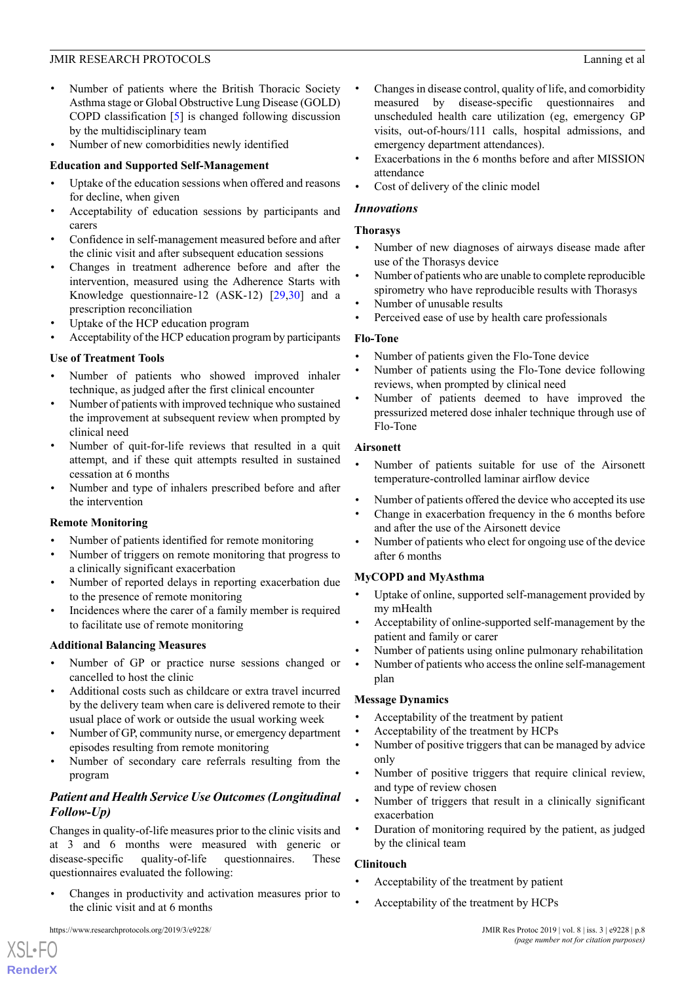- Number of patients where the British Thoracic Society Asthma stage or Global Obstructive Lung Disease (GOLD) COPD classification [\[5](#page-11-0)] is changed following discussion by the multidisciplinary team
- Number of new comorbidities newly identified

## **Education and Supported Self-Management**

- Uptake of the education sessions when offered and reasons for decline, when given
- Acceptability of education sessions by participants and carers
- Confidence in self-management measured before and after the clinic visit and after subsequent education sessions
- Changes in treatment adherence before and after the intervention, measured using the Adherence Starts with Knowledge questionnaire-12 (ASK-12) [[29,](#page-11-24)[30](#page-11-25)] and a prescription reconciliation
- Uptake of the HCP education program
- Acceptability of the HCP education program by participants

## **Use of Treatment Tools**

- Number of patients who showed improved inhaler technique, as judged after the first clinical encounter
- Number of patients with improved technique who sustained the improvement at subsequent review when prompted by clinical need
- Number of quit-for-life reviews that resulted in a quit attempt, and if these quit attempts resulted in sustained cessation at 6 months
- Number and type of inhalers prescribed before and after the intervention

#### **Remote Monitoring**

- Number of patients identified for remote monitoring
- Number of triggers on remote monitoring that progress to a clinically significant exacerbation
- Number of reported delays in reporting exacerbation due to the presence of remote monitoring
- Incidences where the carer of a family member is required to facilitate use of remote monitoring

## **Additional Balancing Measures**

- Number of GP or practice nurse sessions changed or cancelled to host the clinic
- Additional costs such as childcare or extra travel incurred by the delivery team when care is delivered remote to their usual place of work or outside the usual working week
- Number of GP, community nurse, or emergency department episodes resulting from remote monitoring
- Number of secondary care referrals resulting from the program

## *Patient and Health Service Use Outcomes (Longitudinal Follow-Up)*

Changes in quality-of-life measures prior to the clinic visits and at 3 and 6 months were measured with generic or disease-specific quality-of-life questionnaires. These questionnaires evaluated the following:

• Changes in productivity and activation measures prior to the clinic visit and at 6 months

- Changes in disease control, quality of life, and comorbidity measured by disease-specific questionnaires and unscheduled health care utilization (eg, emergency GP visits, out-of-hours/111 calls, hospital admissions, and emergency department attendances).
- Exacerbations in the 6 months before and after MISSION attendance
- Cost of delivery of the clinic model

## *Innovations*

#### **Thorasys**

- Number of new diagnoses of airways disease made after use of the Thorasys device
- Number of patients who are unable to complete reproducible spirometry who have reproducible results with Thorasys
- Number of unusable results
- Perceived ease of use by health care professionals

## **Flo-Tone**

- Number of patients given the Flo-Tone device
- Number of patients using the Flo-Tone device following reviews, when prompted by clinical need
- Number of patients deemed to have improved the pressurized metered dose inhaler technique through use of Flo-Tone

## **Airsonett**

- Number of patients suitable for use of the Airsonett temperature-controlled laminar airflow device
- Number of patients offered the device who accepted its use
- Change in exacerbation frequency in the 6 months before and after the use of the Airsonett device
- Number of patients who elect for ongoing use of the device after 6 months

#### **MyCOPD and MyAsthma**

- Uptake of online, supported self-management provided by my mHealth
- Acceptability of online-supported self-management by the patient and family or carer
- Number of patients using online pulmonary rehabilitation
- Number of patients who access the online self-management plan

#### **Message Dynamics**

- Acceptability of the treatment by patient
- Acceptability of the treatment by HCPs
- Number of positive triggers that can be managed by advice only
- Number of positive triggers that require clinical review, and type of review chosen
- Number of triggers that result in a clinically significant exacerbation
- Duration of monitoring required by the patient, as judged by the clinical team

#### **Clinitouch**

- Acceptability of the treatment by patient
- Acceptability of the treatment by HCPs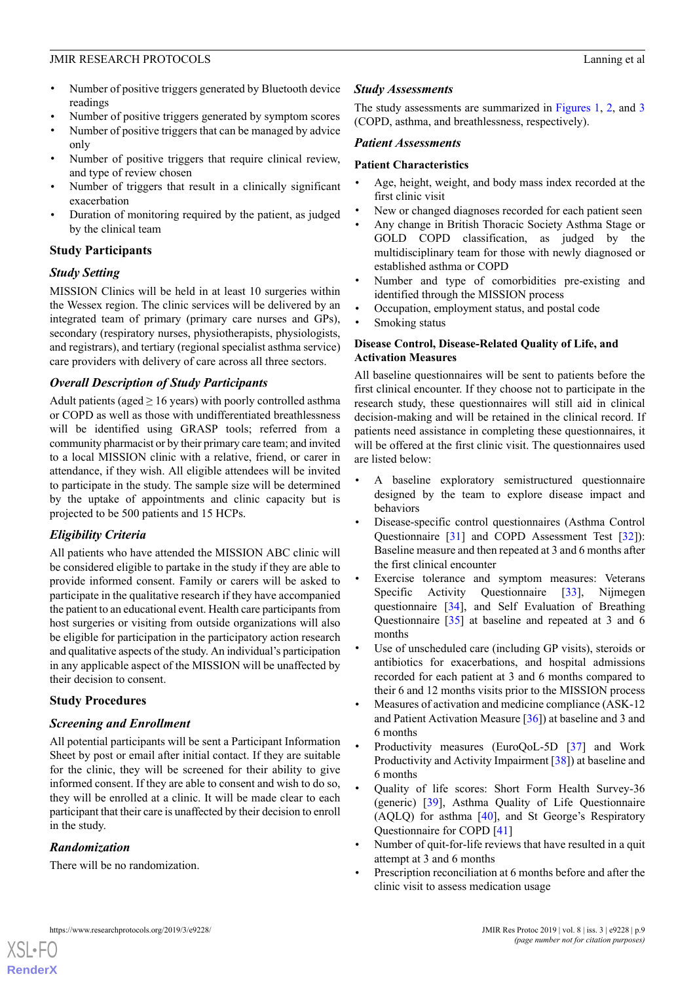- Number of positive triggers generated by Bluetooth device readings
- Number of positive triggers generated by symptom scores
- Number of positive triggers that can be managed by advice only
- Number of positive triggers that require clinical review, and type of review chosen
- Number of triggers that result in a clinically significant exacerbation
- Duration of monitoring required by the patient, as judged by the clinical team

## **Study Participants**

## *Study Setting*

MISSION Clinics will be held in at least 10 surgeries within the Wessex region. The clinic services will be delivered by an integrated team of primary (primary care nurses and GPs), secondary (respiratory nurses, physiotherapists, physiologists, and registrars), and tertiary (regional specialist asthma service) care providers with delivery of care across all three sectors.

## *Overall Description of Study Participants*

Adult patients (aged  $\geq 16$  years) with poorly controlled asthma or COPD as well as those with undifferentiated breathlessness will be identified using GRASP tools; referred from a community pharmacist or by their primary care team; and invited to a local MISSION clinic with a relative, friend, or carer in attendance, if they wish. All eligible attendees will be invited to participate in the study. The sample size will be determined by the uptake of appointments and clinic capacity but is projected to be 500 patients and 15 HCPs.

## *Eligibility Criteria*

All patients who have attended the MISSION ABC clinic will be considered eligible to partake in the study if they are able to provide informed consent. Family or carers will be asked to participate in the qualitative research if they have accompanied the patient to an educational event. Health care participants from host surgeries or visiting from outside organizations will also be eligible for participation in the participatory action research and qualitative aspects of the study. An individual's participation in any applicable aspect of the MISSION will be unaffected by their decision to consent.

## **Study Procedures**

## *Screening and Enrollment*

All potential participants will be sent a Participant Information Sheet by post or email after initial contact. If they are suitable for the clinic, they will be screened for their ability to give informed consent. If they are able to consent and wish to do so, they will be enrolled at a clinic. It will be made clear to each participant that their care is unaffected by their decision to enroll in the study.

## *Randomization*

[XSL](http://www.w3.org/Style/XSL)•FO **[RenderX](http://www.renderx.com/)**

There will be no randomization.

## *Study Assessments*

The study assessments are summarized in [Figures 1](#page-2-0), [2,](#page-3-0) and [3](#page-4-0) (COPD, asthma, and breathlessness, respectively).

## *Patient Assessments*

#### **Patient Characteristics**

- Age, height, weight, and body mass index recorded at the first clinic visit
- New or changed diagnoses recorded for each patient seen
- Any change in British Thoracic Society Asthma Stage or GOLD COPD classification, as judged by the multidisciplinary team for those with newly diagnosed or established asthma or COPD
- Number and type of comorbidities pre-existing and identified through the MISSION process
- Occupation, employment status, and postal code
- Smoking status

#### **Disease Control, Disease-Related Quality of Life, and Activation Measures**

All baseline questionnaires will be sent to patients before the first clinical encounter. If they choose not to participate in the research study, these questionnaires will still aid in clinical decision-making and will be retained in the clinical record. If patients need assistance in completing these questionnaires, it will be offered at the first clinic visit. The questionnaires used are listed below:

- A baseline exploratory semistructured questionnaire designed by the team to explore disease impact and behaviors
- Disease-specific control questionnaires (Asthma Control Questionnaire [\[31](#page-12-0)] and COPD Assessment Test [\[32](#page-12-1)]): Baseline measure and then repeated at 3 and 6 months after the first clinical encounter
- Exercise tolerance and symptom measures: Veterans Specific Activity Questionnaire [\[33](#page-12-2)], Nijmegen questionnaire [\[34](#page-12-3)], and Self Evaluation of Breathing Questionnaire [\[35](#page-12-4)] at baseline and repeated at 3 and 6 months
- Use of unscheduled care (including GP visits), steroids or antibiotics for exacerbations, and hospital admissions recorded for each patient at 3 and 6 months compared to their 6 and 12 months visits prior to the MISSION process
- Measures of activation and medicine compliance (ASK-12) and Patient Activation Measure [\[36](#page-12-5)]) at baseline and 3 and 6 months
- Productivity measures (EuroQoL-5D [[37\]](#page-12-6) and Work Productivity and Activity Impairment [[38\]](#page-12-7)) at baseline and 6 months
- Quality of life scores: Short Form Health Survey-36 (generic) [[39\]](#page-12-8), Asthma Quality of Life Questionnaire (AQLQ) for asthma [[40\]](#page-12-9), and St George's Respiratory Questionnaire for COPD [[41\]](#page-12-10)
- Number of quit-for-life reviews that have resulted in a quit attempt at 3 and 6 months
- Prescription reconciliation at 6 months before and after the clinic visit to assess medication usage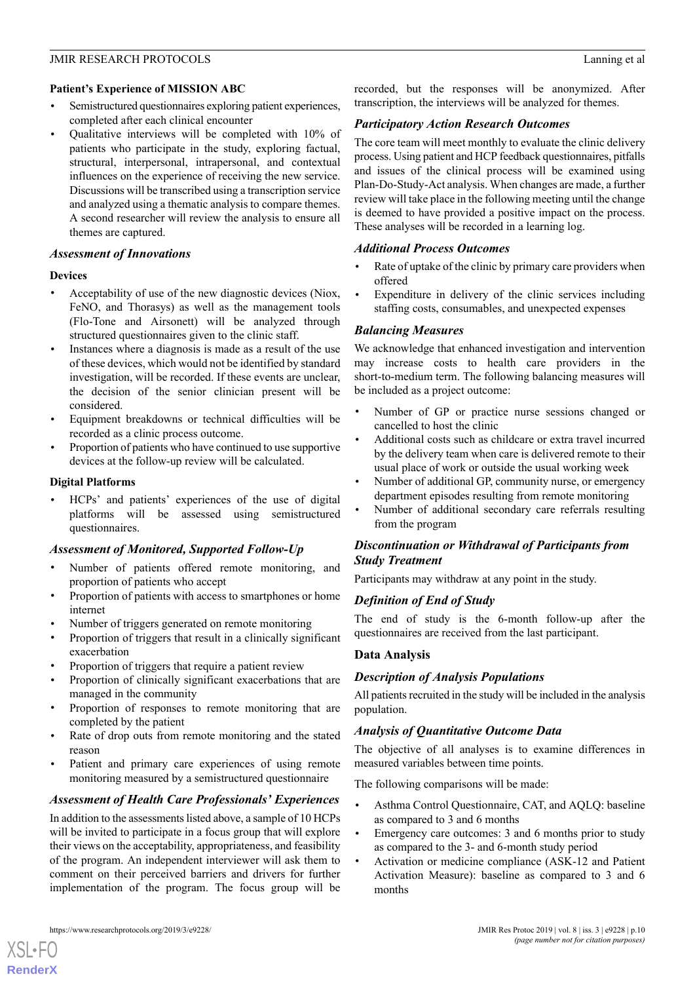#### **Patient's Experience of MISSION ABC**

- Semistructured questionnaires exploring patient experiences, completed after each clinical encounter
- Qualitative interviews will be completed with 10% of patients who participate in the study, exploring factual, structural, interpersonal, intrapersonal, and contextual influences on the experience of receiving the new service. Discussions will be transcribed using a transcription service and analyzed using a thematic analysis to compare themes. A second researcher will review the analysis to ensure all themes are captured.

#### *Assessment of Innovations*

#### **Devices**

- Acceptability of use of the new diagnostic devices (Niox, FeNO, and Thorasys) as well as the management tools (Flo-Tone and Airsonett) will be analyzed through structured questionnaires given to the clinic staff.
- Instances where a diagnosis is made as a result of the use of these devices, which would not be identified by standard investigation, will be recorded. If these events are unclear, the decision of the senior clinician present will be considered.
- Equipment breakdowns or technical difficulties will be recorded as a clinic process outcome.
- Proportion of patients who have continued to use supportive devices at the follow-up review will be calculated.

## **Digital Platforms**

• HCPs' and patients' experiences of the use of digital platforms will be assessed using semistructured questionnaires.

## *Assessment of Monitored, Supported Follow-Up*

- Number of patients offered remote monitoring, and proportion of patients who accept
- Proportion of patients with access to smartphones or home internet
- Number of triggers generated on remote monitoring
- Proportion of triggers that result in a clinically significant exacerbation
- Proportion of triggers that require a patient review
- Proportion of clinically significant exacerbations that are managed in the community
- Proportion of responses to remote monitoring that are completed by the patient
- Rate of drop outs from remote monitoring and the stated reason
- Patient and primary care experiences of using remote monitoring measured by a semistructured questionnaire

## *Assessment of Health Care Professionals' Experiences*

In addition to the assessments listed above, a sample of 10 HCPs will be invited to participate in a focus group that will explore their views on the acceptability, appropriateness, and feasibility of the program. An independent interviewer will ask them to comment on their perceived barriers and drivers for further implementation of the program. The focus group will be

[XSL](http://www.w3.org/Style/XSL)•FO **[RenderX](http://www.renderx.com/)**

recorded, but the responses will be anonymized. After transcription, the interviews will be analyzed for themes.

## *Participatory Action Research Outcomes*

The core team will meet monthly to evaluate the clinic delivery process. Using patient and HCP feedback questionnaires, pitfalls and issues of the clinical process will be examined using Plan-Do-Study-Act analysis. When changes are made, a further review will take place in the following meeting until the change is deemed to have provided a positive impact on the process. These analyses will be recorded in a learning log.

## *Additional Process Outcomes*

- Rate of uptake of the clinic by primary care providers when offered
- Expenditure in delivery of the clinic services including staffing costs, consumables, and unexpected expenses

## *Balancing Measures*

We acknowledge that enhanced investigation and intervention may increase costs to health care providers in the short-to-medium term. The following balancing measures will be included as a project outcome:

- Number of GP or practice nurse sessions changed or cancelled to host the clinic
- Additional costs such as childcare or extra travel incurred by the delivery team when care is delivered remote to their usual place of work or outside the usual working week
- Number of additional GP, community nurse, or emergency department episodes resulting from remote monitoring
- Number of additional secondary care referrals resulting from the program

## *Discontinuation or Withdrawal of Participants from Study Treatment*

Participants may withdraw at any point in the study.

## *Definition of End of Study*

The end of study is the 6-month follow-up after the questionnaires are received from the last participant.

## **Data Analysis**

## *Description of Analysis Populations*

All patients recruited in the study will be included in the analysis population.

#### *Analysis of Quantitative Outcome Data*

The objective of all analyses is to examine differences in measured variables between time points.

The following comparisons will be made:

- Asthma Control Questionnaire, CAT, and AQLQ: baseline as compared to 3 and 6 months
- Emergency care outcomes: 3 and 6 months prior to study as compared to the 3- and 6-month study period
- Activation or medicine compliance (ASK-12 and Patient Activation Measure): baseline as compared to 3 and 6 months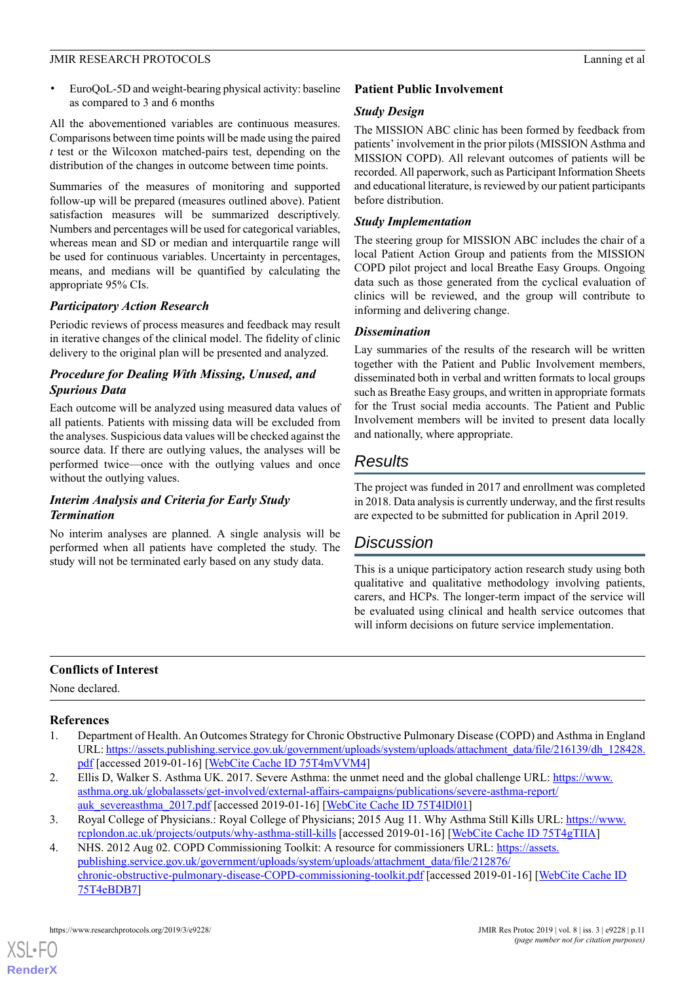• EuroQoL-5D and weight-bearing physical activity: baseline as compared to 3 and 6 months

All the abovementioned variables are continuous measures. Comparisons between time points will be made using the paired *t* test or the Wilcoxon matched-pairs test, depending on the distribution of the changes in outcome between time points.

Summaries of the measures of monitoring and supported follow-up will be prepared (measures outlined above). Patient satisfaction measures will be summarized descriptively. Numbers and percentages will be used for categorical variables, whereas mean and SD or median and interquartile range will be used for continuous variables. Uncertainty in percentages, means, and medians will be quantified by calculating the appropriate 95% CIs.

## *Participatory Action Research*

Periodic reviews of process measures and feedback may result in iterative changes of the clinical model. The fidelity of clinic delivery to the original plan will be presented and analyzed.

## *Procedure for Dealing With Missing, Unused, and Spurious Data*

Each outcome will be analyzed using measured data values of all patients. Patients with missing data will be excluded from the analyses. Suspicious data values will be checked against the source data. If there are outlying values, the analyses will be performed twice—once with the outlying values and once without the outlying values.

## *Interim Analysis and Criteria for Early Study Termination*

No interim analyses are planned. A single analysis will be performed when all patients have completed the study. The study will not be terminated early based on any study data.

## **Patient Public Involvement**

## *Study Design*

The MISSION ABC clinic has been formed by feedback from patients' involvement in the prior pilots (MISSION Asthma and MISSION COPD). All relevant outcomes of patients will be recorded. All paperwork, such as Participant Information Sheets and educational literature, is reviewed by our patient participants before distribution.

## *Study Implementation*

The steering group for MISSION ABC includes the chair of a local Patient Action Group and patients from the MISSION COPD pilot project and local Breathe Easy Groups. Ongoing data such as those generated from the cyclical evaluation of clinics will be reviewed, and the group will contribute to informing and delivering change.

## *Dissemination*

Lay summaries of the results of the research will be written together with the Patient and Public Involvement members, disseminated both in verbal and written formats to local groups such as Breathe Easy groups, and written in appropriate formats for the Trust social media accounts. The Patient and Public Involvement members will be invited to present data locally and nationally, where appropriate.

## *Results*

The project was funded in 2017 and enrollment was completed in 2018. Data analysis is currently underway, and the first results are expected to be submitted for publication in April 2019.

## *Discussion*

This is a unique participatory action research study using both qualitative and qualitative methodology involving patients, carers, and HCPs. The longer-term impact of the service will be evaluated using clinical and health service outcomes that will inform decisions on future service implementation.

## <span id="page-10-0"></span>**Conflicts of Interest**

<span id="page-10-1"></span>None declared.

## **References**

- <span id="page-10-2"></span>1. Department of Health. An Outcomes Strategy for Chronic Obstructive Pulmonary Disease (COPD) and Asthma in England URL: [https://assets.publishing.service.gov.uk/government/uploads/system/uploads/attachment\\_data/file/216139/dh\\_128428.](https://assets.publishing.service.gov.uk/government/uploads/system/uploads/attachment_data/file/216139/dh_128428.pdf) [pdf](https://assets.publishing.service.gov.uk/government/uploads/system/uploads/attachment_data/file/216139/dh_128428.pdf) [accessed 2019-01-16] [[WebCite Cache ID 75T4mVVM4\]](http://www.webcitation.org/75T4mVVM4)
- <span id="page-10-3"></span>2. Ellis D, Walker S. Asthma UK. 2017. Severe Asthma: the unmet need and the global challenge URL: [https://www.](https://www.asthma.org.uk/globalassets/get-involved/external-affairs-campaigns/publications/severe-asthma-report/auk_severeasthma_2017.pdf) [asthma.org.uk/globalassets/get-involved/external-affairs-campaigns/publications/severe-asthma-report/](https://www.asthma.org.uk/globalassets/get-involved/external-affairs-campaigns/publications/severe-asthma-report/auk_severeasthma_2017.pdf) [auk\\_severeasthma\\_2017.pdf](https://www.asthma.org.uk/globalassets/get-involved/external-affairs-campaigns/publications/severe-asthma-report/auk_severeasthma_2017.pdf) [accessed 2019-01-16] [[WebCite Cache ID 75T4lDl01](http://www.webcitation.org/75T4lDl01)]
- 3. Royal College of Physicians.: Royal College of Physicians; 2015 Aug 11. Why Asthma Still Kills URL: [https://www.](https://www.rcplondon.ac.uk/projects/outputs/why-asthma-still-kills) [rcplondon.ac.uk/projects/outputs/why-asthma-still-kills](https://www.rcplondon.ac.uk/projects/outputs/why-asthma-still-kills) [accessed 2019-01-16] [\[WebCite Cache ID 75T4gTIIA\]](http://www.webcitation.org/75T4gTIIA)
- 4. NHS. 2012 Aug 02. COPD Commissioning Toolkit: A resource for commissioners URL: [https://assets.](https://assets.publishing.service.gov.uk/government/uploads/system/uploads/attachment_data/file/212876/chronic-obstructive-pulmonary-disease-COPD-commissioning-toolkit.pdf) [publishing.service.gov.uk/government/uploads/system/uploads/attachment\\_data/file/212876/](https://assets.publishing.service.gov.uk/government/uploads/system/uploads/attachment_data/file/212876/chronic-obstructive-pulmonary-disease-COPD-commissioning-toolkit.pdf) [chronic-obstructive-pulmonary-disease-COPD-commissioning-toolkit.pdf](https://assets.publishing.service.gov.uk/government/uploads/system/uploads/attachment_data/file/212876/chronic-obstructive-pulmonary-disease-COPD-commissioning-toolkit.pdf) [accessed 2019-01-16] [[WebCite Cache ID](http://www.webcitation.org/75T4eBDB7) [75T4eBDB7\]](http://www.webcitation.org/75T4eBDB7)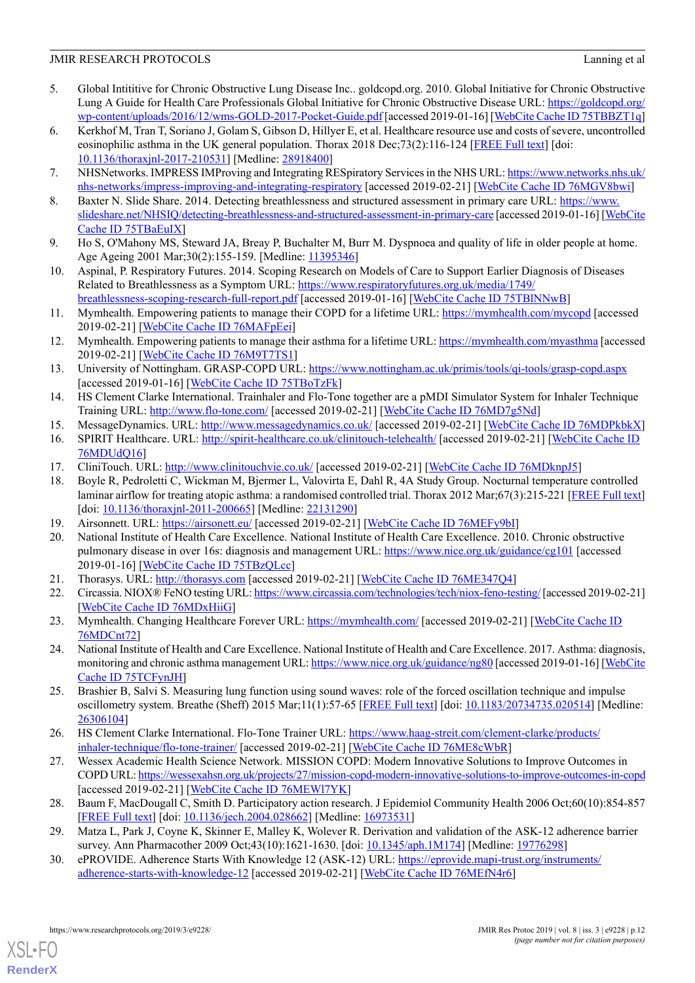- <span id="page-11-0"></span>5. Global Intititive for Chronic Obstructive Lung Disease Inc.. goldcopd.org. 2010. Global Initiative for Chronic Obstructive Lung A Guide for Health Care Professionals Global Initiative for Chronic Obstructive Disease URL: [https://goldcopd.org/](https://goldcopd.org/wp-content/uploads/2016/12/wms-GOLD-2017-Pocket-Guide.pdf) [wp-content/uploads/2016/12/wms-GOLD-2017-Pocket-Guide.pdf](https://goldcopd.org/wp-content/uploads/2016/12/wms-GOLD-2017-Pocket-Guide.pdf) [accessed 2019-01-16] [[WebCite Cache ID 75TBBZT1q\]](http://www.webcitation.org/75TBBZT1q)
- <span id="page-11-1"></span>6. Kerkhof M, Tran T, Soriano J, Golam S, Gibson D, Hillyer E, et al. Healthcare resource use and costs of severe, uncontrolled eosinophilic asthma in the UK general population. Thorax 2018 Dec;73(2):116-124 [\[FREE Full text\]](http://thorax.bmj.com/cgi/pmidlookup?view=long&pmid=28918400) [doi: [10.1136/thoraxjnl-2017-210531](http://dx.doi.org/10.1136/thoraxjnl-2017-210531)] [Medline: [28918400\]](http://www.ncbi.nlm.nih.gov/entrez/query.fcgi?cmd=Retrieve&db=PubMed&list_uids=28918400&dopt=Abstract)
- <span id="page-11-3"></span><span id="page-11-2"></span>7. NHSNetworks. IMPRESS IMProving and Integrating RESpiratory Services in the NHS URL: [https://www.networks.nhs.uk/](https://www.networks.nhs.uk/nhs-networks/impress-improving-and-integrating-respiratory) [nhs-networks/impress-improving-and-integrating-respiratory](https://www.networks.nhs.uk/nhs-networks/impress-improving-and-integrating-respiratory) [accessed 2019-02-21] [\[WebCite Cache ID 76MGV8bwi](http://www.webcitation.org/76MGV8bwi)]
- <span id="page-11-4"></span>8. Baxter N. Slide Share. 2014. Detecting breathlessness and structured assessment in primary care URL: [https://www.](https://www.slideshare.net/NHSIQ/detecting-breathlessness-and-structured-assessment-in-primary-care) [slideshare.net/NHSIQ/detecting-breathlessness-and-structured-assessment-in-primary-care](https://www.slideshare.net/NHSIQ/detecting-breathlessness-and-structured-assessment-in-primary-care) [accessed 2019-01-16] [[WebCite](http://www.webcitation.org/75TBaEuIX) [Cache ID 75TBaEuIX\]](http://www.webcitation.org/75TBaEuIX)
- <span id="page-11-5"></span>9. Ho S, O'Mahony MS, Steward JA, Breay P, Buchalter M, Burr M. Dyspnoea and quality of life in older people at home. Age Ageing 2001 Mar; 30(2): 155-159. [Medline: [11395346\]](http://www.ncbi.nlm.nih.gov/entrez/query.fcgi?cmd=Retrieve&db=PubMed&list_uids=11395346&dopt=Abstract)
- <span id="page-11-6"></span>10. Aspinal, P. Respiratory Futures. 2014. Scoping Research on Models of Care to Support Earlier Diagnosis of Diseases Related to Breathlessness as a Symptom URL: [https://www.respiratoryfutures.org.uk/media/1749/](https://www.respiratoryfutures.org.uk/media/1749/breathlessness-scoping-research-full-report.pdf) [breathlessness-scoping-research-full-report.pdf](https://www.respiratoryfutures.org.uk/media/1749/breathlessness-scoping-research-full-report.pdf) [accessed 2019-01-16] [[WebCite Cache ID 75TBlNNwB\]](http://www.webcitation.org/75TBlNNwB)
- <span id="page-11-7"></span>11. Mymhealth. Empowering patients to manage their COPD for a lifetime URL: <https://mymhealth.com/mycopd> [accessed 2019-02-21] [\[WebCite Cache ID 76MAFpEei](http://www.webcitation.org/76MAFpEei)]
- <span id="page-11-8"></span>12. Mymhealth. Empowering patients to manage their asthma for a lifetime URL:<https://mymhealth.com/myasthma> [accessed 2019-02-21] [\[WebCite Cache ID 76M9T7TS1\]](http://www.webcitation.org/76M9T7TS1)
- <span id="page-11-9"></span>13. University of Nottingham. GRASP-COPD URL: <https://www.nottingham.ac.uk/primis/tools/qi-tools/grasp-copd.aspx> [accessed 2019-01-16] [\[WebCite Cache ID 75TBoTzFk\]](http://www.webcitation.org/75TBoTzFk)
- <span id="page-11-11"></span><span id="page-11-10"></span>14. HS Clement Clarke International. Trainhaler and Flo-Tone together are a pMDI Simulator System for Inhaler Technique Training URL:<http://www.flo-tone.com/> [accessed 2019-02-21] [[WebCite Cache ID 76MD7g5Nd\]](http://www.webcitation.org/76MD7g5Nd)
- <span id="page-11-12"></span>15. MessageDynamics. URL:<http://www.messagedynamics.co.uk/> [accessed 2019-02-21] [[WebCite Cache ID 76MDPkbkX](http://www.webcitation.org/76MDPkbkX)]
- <span id="page-11-13"></span>16. SPIRIT Healthcare. URL:<http://spirit-healthcare.co.uk/clinitouch-telehealth/> [accessed 2019-02-21] [[WebCite Cache ID](http://www.webcitation.org/76MDUdQ16) [76MDUdQ16](http://www.webcitation.org/76MDUdQ16)]
- <span id="page-11-14"></span>17. CliniTouch. URL: <http://www.clinitouchvie.co.uk/> [accessed 2019-02-21] [\[WebCite Cache ID 76MDknpJ5](http://www.webcitation.org/76MDknpJ5)]
- <span id="page-11-15"></span>18. Boyle R, Pedroletti C, Wickman M, Bjermer L, Valovirta E, Dahl R, 4A Study Group. Nocturnal temperature controlled laminar airflow for treating atopic asthma: a randomised controlled trial. Thorax 2012 Mar;67(3):215-221 [[FREE Full text](http://thorax.bmj.com/cgi/pmidlookup?view=long&pmid=22131290)] [doi: [10.1136/thoraxjnl-2011-200665](http://dx.doi.org/10.1136/thoraxjnl-2011-200665)] [Medline: [22131290\]](http://www.ncbi.nlm.nih.gov/entrez/query.fcgi?cmd=Retrieve&db=PubMed&list_uids=22131290&dopt=Abstract)
- <span id="page-11-16"></span>19. Airsonnett. URL: <https://airsonett.eu/> [accessed 2019-02-21] [[WebCite Cache ID 76MEFy9bI](http://www.webcitation.org/76MEFy9bI)]
- <span id="page-11-17"></span>20. National Institute of Health Care Excellence. National Institute of Health Care Excellence. 2010. Chronic obstructive pulmonary disease in over 16s: diagnosis and management URL:<https://www.nice.org.uk/guidance/cg101> [accessed 2019-01-16] [\[WebCite Cache ID 75TBzQLcc](http://www.webcitation.org/75TBzQLcc)]
- <span id="page-11-19"></span><span id="page-11-18"></span>21. Thorasys. URL:<http://thorasys.com> [accessed 2019-02-21] [\[WebCite Cache ID 76ME347Q4](http://www.webcitation.org/76ME347Q4)]
- 22. Circassia. NIOX® FeNO testing URL:<https://www.circassia.com/technologies/tech/niox-feno-testing/> [accessed 2019-02-21] [[WebCite Cache ID 76MDxHiiG\]](http://www.webcitation.org/76MDxHiiG)
- <span id="page-11-20"></span>23. Mymhealth. Changing Healthcare Forever URL: <https://mymhealth.com/> [accessed 2019-02-21] [[WebCite Cache ID](http://www.webcitation.org/76MDCnt72) [76MDCnt72](http://www.webcitation.org/76MDCnt72)]
- <span id="page-11-21"></span>24. National Institute of Health and Care Excellence. National Institute of Health and Care Excellence. 2017. Asthma: diagnosis, monitoring and chronic asthma management URL:<https://www.nice.org.uk/guidance/ng80> [accessed 2019-01-16] [\[WebCite](http://www.webcitation.org/75TCFynJH) [Cache ID 75TCFynJH](http://www.webcitation.org/75TCFynJH)]
- <span id="page-11-22"></span>25. Brashier B, Salvi S. Measuring lung function using sound waves: role of the forced oscillation technique and impulse oscillometry system. Breathe (Sheff) 2015 Mar;11(1):57-65 [\[FREE Full text\]](http://europepmc.org/abstract/MED/26306104) [doi: [10.1183/20734735.020514](http://dx.doi.org/10.1183/20734735.020514)] [Medline: [26306104](http://www.ncbi.nlm.nih.gov/entrez/query.fcgi?cmd=Retrieve&db=PubMed&list_uids=26306104&dopt=Abstract)]
- <span id="page-11-23"></span>26. HS Clement Clarke International. Flo-Tone Trainer URL: [https://www.haag-streit.com/clement-clarke/products/](https://www.haag-streit.com/clement-clarke/products/inhaler-technique/flo-tone-trainer/) [inhaler-technique/flo-tone-trainer/](https://www.haag-streit.com/clement-clarke/products/inhaler-technique/flo-tone-trainer/) [accessed 2019-02-21] [\[WebCite Cache ID 76ME8cWbR](http://www.webcitation.org/76ME8cWbR)]
- <span id="page-11-25"></span><span id="page-11-24"></span>27. Wessex Academic Health Science Network. MISSION COPD: Modern Innovative Solutions to Improve Outcomes in COPD URL:<https://wessexahsn.org.uk/projects/27/mission-copd-modern-innovative-solutions-to-improve-outcomes-in-copd> [accessed 2019-02-21] [\[WebCite Cache ID 76MEWl7YK](http://www.webcitation.org/76MEWl7YK)]
- 28. Baum F, MacDougall C, Smith D. Participatory action research. J Epidemiol Community Health 2006 Oct;60(10):854-857 [[FREE Full text](http://europepmc.org/abstract/MED/16973531)] [doi: [10.1136/jech.2004.028662](http://dx.doi.org/10.1136/jech.2004.028662)] [Medline: [16973531\]](http://www.ncbi.nlm.nih.gov/entrez/query.fcgi?cmd=Retrieve&db=PubMed&list_uids=16973531&dopt=Abstract)
- 29. Matza L, Park J, Coyne K, Skinner E, Malley K, Wolever R. Derivation and validation of the ASK-12 adherence barrier survey. Ann Pharmacother 2009 Oct;43(10):1621-1630. [doi: [10.1345/aph.1M174](http://dx.doi.org/10.1345/aph.1M174)] [Medline: [19776298\]](http://www.ncbi.nlm.nih.gov/entrez/query.fcgi?cmd=Retrieve&db=PubMed&list_uids=19776298&dopt=Abstract)
- 30. ePROVIDE. Adherence Starts With Knowledge 12 (ASK-12) URL: [https://eprovide.mapi-trust.org/instruments/](https://eprovide.mapi-trust.org/instruments/adherence-starts-with-knowledge-12) [adherence-starts-with-knowledge-12](https://eprovide.mapi-trust.org/instruments/adherence-starts-with-knowledge-12) [accessed 2019-02-21] [\[WebCite Cache ID 76MEfN4r6\]](http://www.webcitation.org/76MEfN4r6)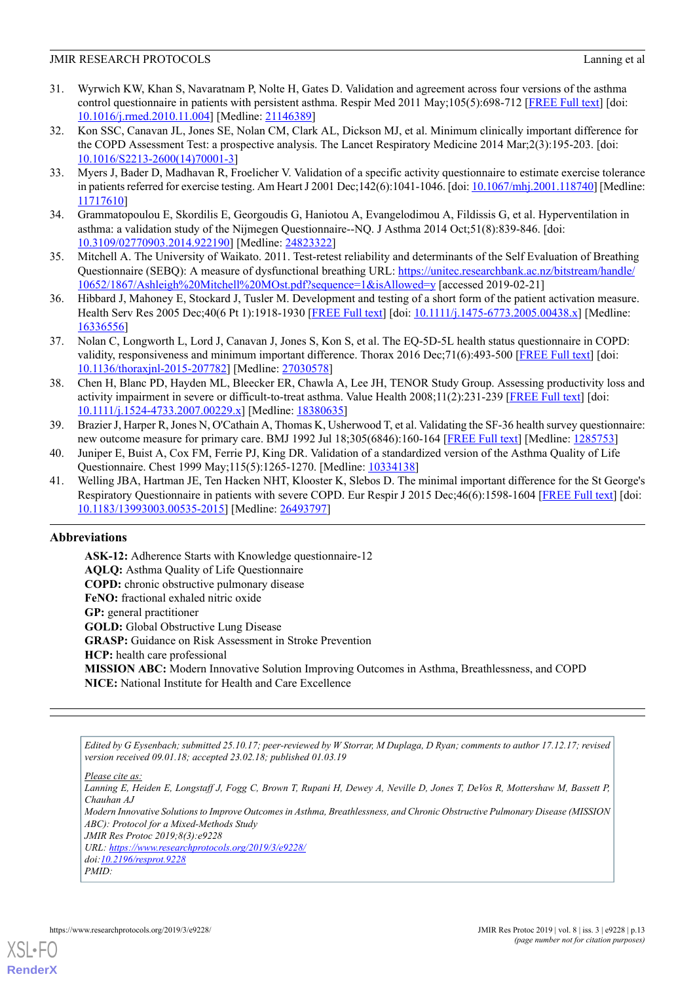- <span id="page-12-0"></span>31. Wyrwich KW, Khan S, Navaratnam P, Nolte H, Gates D. Validation and agreement across four versions of the asthma control questionnaire in patients with persistent asthma. Respir Med 2011 May;105(5):698-712 [\[FREE Full text\]](https://linkinghub.elsevier.com/retrieve/pii/S0954-6111(10)00478-6) [doi: [10.1016/j.rmed.2010.11.004\]](http://dx.doi.org/10.1016/j.rmed.2010.11.004) [Medline: [21146389](http://www.ncbi.nlm.nih.gov/entrez/query.fcgi?cmd=Retrieve&db=PubMed&list_uids=21146389&dopt=Abstract)]
- <span id="page-12-1"></span>32. Kon SSC, Canavan JL, Jones SE, Nolan CM, Clark AL, Dickson MJ, et al. Minimum clinically important difference for the COPD Assessment Test: a prospective analysis. The Lancet Respiratory Medicine 2014 Mar;2(3):195-203. [doi: [10.1016/S2213-2600\(14\)70001-3\]](http://dx.doi.org/10.1016/S2213-2600(14)70001-3)
- <span id="page-12-2"></span>33. Myers J, Bader D, Madhavan R, Froelicher V. Validation of a specific activity questionnaire to estimate exercise tolerance in patients referred for exercise testing. Am Heart J 2001 Dec;142(6):1041-1046. [doi: [10.1067/mhj.2001.118740\]](http://dx.doi.org/10.1067/mhj.2001.118740) [Medline: [11717610](http://www.ncbi.nlm.nih.gov/entrez/query.fcgi?cmd=Retrieve&db=PubMed&list_uids=11717610&dopt=Abstract)]
- <span id="page-12-4"></span><span id="page-12-3"></span>34. Grammatopoulou E, Skordilis E, Georgoudis G, Haniotou A, Evangelodimou A, Fildissis G, et al. Hyperventilation in asthma: a validation study of the Nijmegen Questionnaire--NQ. J Asthma 2014 Oct;51(8):839-846. [doi: [10.3109/02770903.2014.922190\]](http://dx.doi.org/10.3109/02770903.2014.922190) [Medline: [24823322](http://www.ncbi.nlm.nih.gov/entrez/query.fcgi?cmd=Retrieve&db=PubMed&list_uids=24823322&dopt=Abstract)]
- <span id="page-12-5"></span>35. Mitchell A. The University of Waikato. 2011. Test-retest reliability and determinants of the Self Evaluation of Breathing Questionnaire (SEBQ): A measure of dysfunctional breathing URL: [https://unitec.researchbank.ac.nz/bitstream/handle/](https://unitec.researchbank.ac.nz/bitstream/handle/10652/1867/Ashleigh%20Mitchell%20MOst.pdf?sequence=1&isAllowed=y) [10652/1867/Ashleigh%20Mitchell%20MOst.pdf?sequence=1&isAllowed=y](https://unitec.researchbank.ac.nz/bitstream/handle/10652/1867/Ashleigh%20Mitchell%20MOst.pdf?sequence=1&isAllowed=y) [accessed 2019-02-21]
- <span id="page-12-6"></span>36. Hibbard J, Mahoney E, Stockard J, Tusler M. Development and testing of a short form of the patient activation measure. Health Serv Res 2005 Dec; 40(6 Pt 1):1918-1930 [\[FREE Full text\]](http://europepmc.org/abstract/MED/16336556) [doi: [10.1111/j.1475-6773.2005.00438.x](http://dx.doi.org/10.1111/j.1475-6773.2005.00438.x)] [Medline: [16336556](http://www.ncbi.nlm.nih.gov/entrez/query.fcgi?cmd=Retrieve&db=PubMed&list_uids=16336556&dopt=Abstract)]
- <span id="page-12-7"></span>37. Nolan C, Longworth L, Lord J, Canavan J, Jones S, Kon S, et al. The EQ-5D-5L health status questionnaire in COPD: validity, responsiveness and minimum important difference. Thorax 2016 Dec;71(6):493-500 [\[FREE Full text\]](http://thorax.bmj.com/cgi/pmidlookup?view=long&pmid=27030578) [doi: [10.1136/thoraxjnl-2015-207782](http://dx.doi.org/10.1136/thoraxjnl-2015-207782)] [Medline: [27030578\]](http://www.ncbi.nlm.nih.gov/entrez/query.fcgi?cmd=Retrieve&db=PubMed&list_uids=27030578&dopt=Abstract)
- <span id="page-12-8"></span>38. Chen H, Blanc PD, Hayden ML, Bleecker ER, Chawla A, Lee JH, TENOR Study Group. Assessing productivity loss and activity impairment in severe or difficult-to-treat asthma. Value Health 2008;11(2):231-239 [[FREE Full text](https://linkinghub.elsevier.com/retrieve/pii/S1098-3015(10)60516-5)] [doi: [10.1111/j.1524-4733.2007.00229.x\]](http://dx.doi.org/10.1111/j.1524-4733.2007.00229.x) [Medline: [18380635](http://www.ncbi.nlm.nih.gov/entrez/query.fcgi?cmd=Retrieve&db=PubMed&list_uids=18380635&dopt=Abstract)]
- <span id="page-12-10"></span><span id="page-12-9"></span>39. Brazier J, Harper R, Jones N, O'Cathain A, Thomas K, Usherwood T, et al. Validating the SF-36 health survey questionnaire: new outcome measure for primary care. BMJ 1992 Jul 18;305(6846):160-164 [\[FREE Full text\]](http://europepmc.org/abstract/MED/1285753) [Medline: [1285753](http://www.ncbi.nlm.nih.gov/entrez/query.fcgi?cmd=Retrieve&db=PubMed&list_uids=1285753&dopt=Abstract)]
- 40. Juniper E, Buist A, Cox FM, Ferrie PJ, King DR. Validation of a standardized version of the Asthma Quality of Life Questionnaire. Chest 1999 May;115(5):1265-1270. [Medline: [10334138\]](http://www.ncbi.nlm.nih.gov/entrez/query.fcgi?cmd=Retrieve&db=PubMed&list_uids=10334138&dopt=Abstract)
- 41. Welling JBA, Hartman JE, Ten Hacken NHT, Klooster K, Slebos D. The minimal important difference for the St George's Respiratory Questionnaire in patients with severe COPD. Eur Respir J 2015 Dec;46(6):1598-1604 [[FREE Full text](http://erj.ersjournals.com/cgi/pmidlookup?view=long&pmid=26493797)] [doi: [10.1183/13993003.00535-2015](http://dx.doi.org/10.1183/13993003.00535-2015)] [Medline: [26493797\]](http://www.ncbi.nlm.nih.gov/entrez/query.fcgi?cmd=Retrieve&db=PubMed&list_uids=26493797&dopt=Abstract)

## **Abbreviations**

**ASK-12:** Adherence Starts with Knowledge questionnaire-12 **AQLQ:** Asthma Quality of Life Questionnaire **COPD:** chronic obstructive pulmonary disease **FeNO:** fractional exhaled nitric oxide **GP:** general practitioner **GOLD:** Global Obstructive Lung Disease **GRASP:** Guidance on Risk Assessment in Stroke Prevention **HCP:** health care professional **MISSION ABC:** Modern Innovative Solution Improving Outcomes in Asthma, Breathlessness, and COPD **NICE:** National Institute for Health and Care Excellence

*Edited by G Eysenbach; submitted 25.10.17; peer-reviewed by W Storrar, M Duplaga, D Ryan; comments to author 17.12.17; revised version received 09.01.18; accepted 23.02.18; published 01.03.19*

*Please cite as:*

*Lanning E, Heiden E, Longstaff J, Fogg C, Brown T, Rupani H, Dewey A, Neville D, Jones T, DeVos R, Mottershaw M, Bassett P, Chauhan AJ*

*Modern Innovative Solutions to Improve Outcomes in Asthma, Breathlessness, and Chronic Obstructive Pulmonary Disease (MISSION ABC): Protocol for a Mixed-Methods Study*

*JMIR Res Protoc 2019;8(3):e9228*

*URL: <https://www.researchprotocols.org/2019/3/e9228/>*

*doi[:10.2196/resprot.9228](http://dx.doi.org/10.2196/resprot.9228) PMID:*